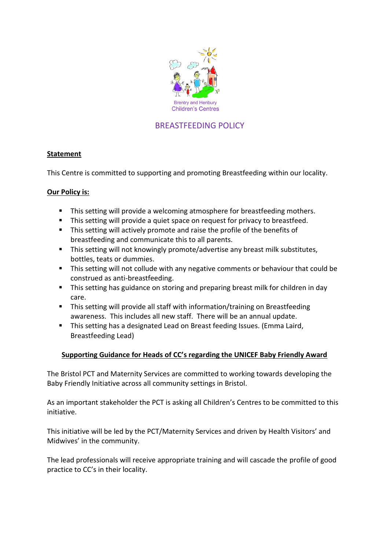

# BREASTFEEDING POLICY

### **Statement**

This Centre is committed to supporting and promoting Breastfeeding within our locality.

### **Our Policy is:**

- This setting will provide a welcoming atmosphere for breastfeeding mothers.
- This setting will provide a quiet space on request for privacy to breastfeed.
- This setting will actively promote and raise the profile of the benefits of breastfeeding and communicate this to all parents.
- **This setting will not knowingly promote/advertise any breast milk substitutes,** bottles, teats or dummies.
- **This setting will not collude with any negative comments or behaviour that could be** construed as anti-breastfeeding.
- **This setting has guidance on storing and preparing breast milk for children in day** care.
- This setting will provide all staff with information/training on Breastfeeding awareness. This includes all new staff. There will be an annual update.
- This setting has a designated Lead on Breast feeding Issues. (Emma Laird, Breastfeeding Lead)

## **Supporting Guidance for Heads of CC's regarding the UNICEF Baby Friendly Award**

The Bristol PCT and Maternity Services are committed to working towards developing the Baby Friendly Initiative across all community settings in Bristol.

As an important stakeholder the PCT is asking all Children's Centres to be committed to this initiative.

This initiative will be led by the PCT/Maternity Services and driven by Health Visitors' and Midwives' in the community.

The lead professionals will receive appropriate training and will cascade the profile of good practice to CC's in their locality.